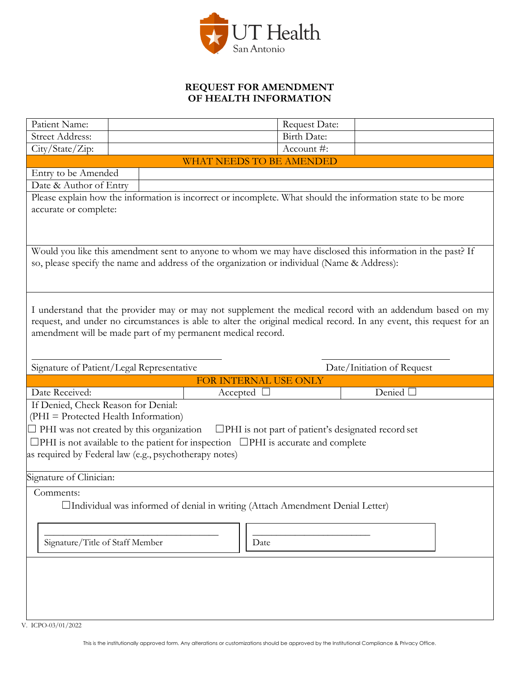

## **REQUEST FOR AMENDMENT OF HEALTH INFORMATION**

| Patient Name:                                                                                                                                                                                                                                                                                  |  | Request Date:        |                  |  |
|------------------------------------------------------------------------------------------------------------------------------------------------------------------------------------------------------------------------------------------------------------------------------------------------|--|----------------------|------------------|--|
| <b>Street Address:</b>                                                                                                                                                                                                                                                                         |  | <b>Birth Date:</b>   |                  |  |
| City/State/Zip:                                                                                                                                                                                                                                                                                |  | Account #:           |                  |  |
| <b>WHAT NEEDS TO BE AMENDED</b>                                                                                                                                                                                                                                                                |  |                      |                  |  |
| Entry to be Amended                                                                                                                                                                                                                                                                            |  |                      |                  |  |
| Date & Author of Entry                                                                                                                                                                                                                                                                         |  |                      |                  |  |
| Please explain how the information is incorrect or incomplete. What should the information state to be more                                                                                                                                                                                    |  |                      |                  |  |
| accurate or complete:                                                                                                                                                                                                                                                                          |  |                      |                  |  |
|                                                                                                                                                                                                                                                                                                |  |                      |                  |  |
| Would you like this amendment sent to anyone to whom we may have disclosed this information in the past? If<br>so, please specify the name and address of the organization or individual (Name & Address):                                                                                     |  |                      |                  |  |
|                                                                                                                                                                                                                                                                                                |  |                      |                  |  |
| I understand that the provider may or may not supplement the medical record with an addendum based on my<br>request, and under no circumstances is able to alter the original medical record. In any event, this request for an<br>amendment will be made part of my permanent medical record. |  |                      |                  |  |
| Signature of Patient/Legal Representative<br>Date/Initiation of Request                                                                                                                                                                                                                        |  |                      |                  |  |
| FOR INTERNAL USE ONLY                                                                                                                                                                                                                                                                          |  |                      |                  |  |
| Date Received:                                                                                                                                                                                                                                                                                 |  | $Accepted$ $\square$ | Denied $\square$ |  |
| If Denied, Check Reason for Denial:<br>(PHI = Protected Health Information)                                                                                                                                                                                                                    |  |                      |                  |  |
| $\Box$ PHI was not created by this organization<br>$\Box$ PHI is not part of patient's designated record set                                                                                                                                                                                   |  |                      |                  |  |
| $\Box$ PHI is not available to the patient for inspection $\Box$ PHI is accurate and complete                                                                                                                                                                                                  |  |                      |                  |  |
| as required by Federal law (e.g., psychotherapy notes)                                                                                                                                                                                                                                         |  |                      |                  |  |
| Signature of Clinician:                                                                                                                                                                                                                                                                        |  |                      |                  |  |
| Comments:                                                                                                                                                                                                                                                                                      |  |                      |                  |  |
| □Individual was informed of denial in writing (Attach Amendment Denial Letter)                                                                                                                                                                                                                 |  |                      |                  |  |
|                                                                                                                                                                                                                                                                                                |  |                      |                  |  |
| Signature/Title of Staff Member<br>Date                                                                                                                                                                                                                                                        |  |                      |                  |  |
|                                                                                                                                                                                                                                                                                                |  |                      |                  |  |
|                                                                                                                                                                                                                                                                                                |  |                      |                  |  |
|                                                                                                                                                                                                                                                                                                |  |                      |                  |  |
|                                                                                                                                                                                                                                                                                                |  |                      |                  |  |

V. ICPO-03/01/2022